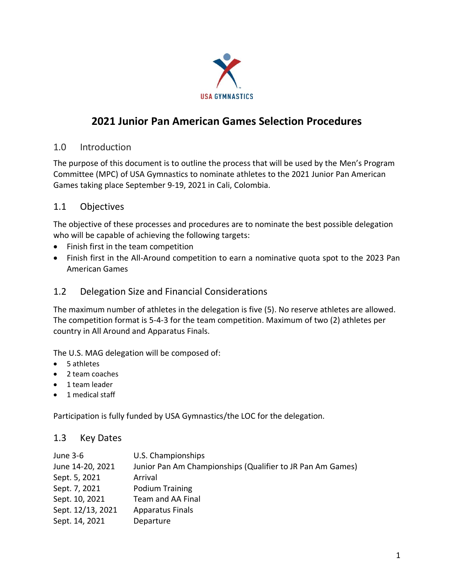

# **2021 Junior Pan American Games Selection Procedures**

#### 1.0 Introduction

The purpose of this document is to outline the process that will be used by the Men's Program Committee (MPC) of USA Gymnastics to nominate athletes to the 2021 Junior Pan American Games taking place September 9-19, 2021 in Cali, Colombia.

#### 1.1 Objectives

The objective of these processes and procedures are to nominate the best possible delegation who will be capable of achieving the following targets:

- Finish first in the team competition
- Finish first in the All-Around competition to earn a nominative quota spot to the 2023 Pan American Games

#### 1.2 Delegation Size and Financial Considerations

The maximum number of athletes in the delegation is five (5). No reserve athletes are allowed. The competition format is 5-4-3 for the team competition. Maximum of two (2) athletes per country in All Around and Apparatus Finals.

The U.S. MAG delegation will be composed of:

- 5 athletes
- 2 team coaches
- 1 team leader
- 1 medical staff

Participation is fully funded by USA Gymnastics/the LOC for the delegation.

#### 1.3 Key Dates

| June 3-6          | U.S. Championships                                         |
|-------------------|------------------------------------------------------------|
| June 14-20, 2021  | Junior Pan Am Championships (Qualifier to JR Pan Am Games) |
| Sept. 5, 2021     | Arrival                                                    |
| Sept. 7, 2021     | <b>Podium Training</b>                                     |
| Sept. 10, 2021    | Team and AA Final                                          |
| Sept. 12/13, 2021 | <b>Apparatus Finals</b>                                    |
| Sept. 14, 2021    | Departure                                                  |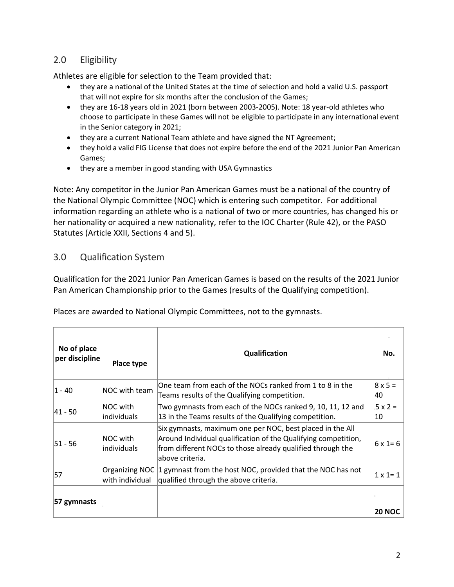# 2.0 Eligibility

Athletes are eligible for selection to the Team provided that:

- they are a national of the United States at the time of selection and hold a valid U.S. passport that will not expire for six months after the conclusion of the Games;
- they are 16-18 years old in 2021 (born between 2003-2005). Note: 18 year-old athletes who choose to participate in these Games will not be eligible to participate in any international event in the Senior category in 2021;
- they are a current National Team athlete and have signed the NT Agreement;
- they hold a valid FIG License that does not expire before the end of the 2021 Junior Pan American Games;
- they are a member in good standing with USA Gymnastics

Note: Any competitor in the Junior Pan American Games must be a national of the country of the National Olympic Committee (NOC) which is entering such competitor. For additional information regarding an athlete who is a national of two or more countries, has changed his or her nationality or acquired a new nationality, refer to the IOC Charter (Rule 42), or the PASO Statutes (Article XXII, Sections 4 and 5).

#### 3.0 Qualification System

Qualification for the 2021 Junior Pan American Games is based on the results of the 2021 Junior Pan American Championship prior to the Games (results of the Qualifying competition).

| No of place<br>per discipline | Place type              | <b>Qualification</b>                                                                                                                                                                                          | No.                  |
|-------------------------------|-------------------------|---------------------------------------------------------------------------------------------------------------------------------------------------------------------------------------------------------------|----------------------|
| 1 - 40                        | NOC with team           | One team from each of the NOCs ranked from 1 to 8 in the<br>Teams results of the Qualifying competition.                                                                                                      | $8 \times 5 =$<br>40 |
| 41 - 50                       | NOC with<br>individuals | Two gymnasts from each of the NOCs ranked 9, 10, 11, 12 and<br>13 in the Teams results of the Qualifying competition.                                                                                         | $5 \times 2 =$<br>10 |
| $ 51 - 56$                    | NOC with<br>individuals | Six gymnasts, maximum one per NOC, best placed in the All<br>Around Individual qualification of the Qualifying competition,<br>from different NOCs to those already qualified through the<br>labove criteria. | $ 6 \times 1 = 6 $   |
| 57                            | with individual         | Organizing NOC 1 gymnast from the host NOC, provided that the NOC has not<br>qualified through the above criteria.                                                                                            | $1 \times 1 = 1$     |
| 57 gymnasts                   |                         |                                                                                                                                                                                                               | <b>20 NOC</b>        |

Places are awarded to National Olympic Committees, not to the gymnasts.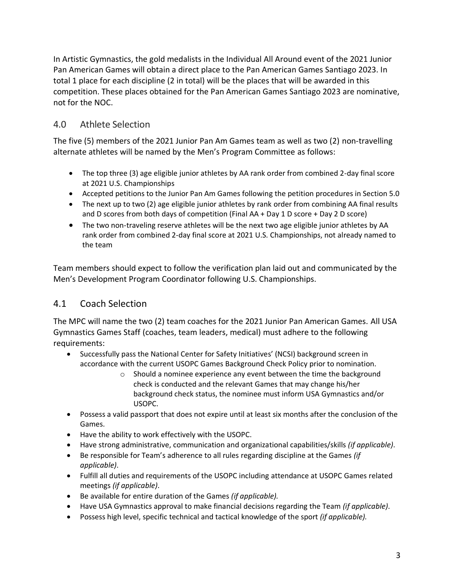In Artistic Gymnastics, the gold medalists in the Individual All Around event of the 2021 Junior Pan American Games will obtain a direct place to the Pan American Games Santiago 2023. In total 1 place for each discipline (2 in total) will be the places that will be awarded in this competition. These places obtained for the Pan American Games Santiago 2023 are nominative, not for the NOC.

## 4.0 Athlete Selection

The five (5) members of the 2021 Junior Pan Am Games team as well as two (2) non-travelling alternate athletes will be named by the Men's Program Committee as follows:

- The top three (3) age eligible junior athletes by AA rank order from combined 2-day final score at 2021 U.S. Championships
- Accepted petitions to the Junior Pan Am Games following the petition procedures in Section 5.0
- The next up to two (2) age eligible junior athletes by rank order from combining AA final results and D scores from both days of competition (Final AA + Day 1 D score + Day 2 D score)
- The two non-traveling reserve athletes will be the next two age eligible junior athletes by AA rank order from combined 2-day final score at 2021 U.S. Championships, not already named to the team

Team members should expect to follow the verification plan laid out and communicated by the Men's Development Program Coordinator following U.S. Championships.

# 4.1 Coach Selection

The MPC will name the two (2) team coaches for the 2021 Junior Pan American Games. All USA Gymnastics Games Staff (coaches, team leaders, medical) must adhere to the following requirements:

- Successfully pass the National Center for Safety Initiatives' (NCSI) background screen in accordance with the current USOPC Games Background Check Policy prior to nomination.
	- o Should a nominee experience any event between the time the background check is conducted and the relevant Games that may change his/her background check status, the nominee must inform USA Gymnastics and/or USOPC.
- Possess a valid passport that does not expire until at least six months after the conclusion of the Games.
- Have the ability to work effectively with the USOPC.
- Have strong administrative, communication and organizational capabilities/skills *(if applicable)*.
- Be responsible for Team's adherence to all rules regarding discipline at the Games *(if applicable)*.
- Fulfill all duties and requirements of the USOPC including attendance at USOPC Games related meetings *(if applicable)*.
- Be available for entire duration of the Games *(if applicable).*
- Have USA Gymnastics approval to make financial decisions regarding the Team *(if applicable)*.
- Possess high level, specific technical and tactical knowledge of the sport *(if applicable).*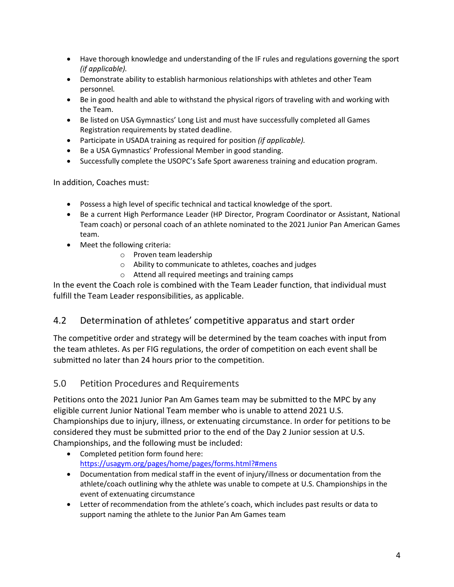- Have thorough knowledge and understanding of the IF rules and regulations governing the sport *(if applicable).*
- Demonstrate ability to establish harmonious relationships with athletes and other Team personnel*.*
- Be in good health and able to withstand the physical rigors of traveling with and working with the Team.
- Be listed on USA Gymnastics' Long List and must have successfully completed all Games Registration requirements by stated deadline.
- Participate in USADA training as required for position *(if applicable).*
- Be a USA Gymnastics' Professional Member in good standing.
- Successfully complete the USOPC's Safe Sport awareness training and education program.

In addition, Coaches must:

- Possess a high level of specific technical and tactical knowledge of the sport.
- Be a current High Performance Leader (HP Director, Program Coordinator or Assistant, National Team coach) or personal coach of an athlete nominated to the 2021 Junior Pan American Games team.
- Meet the following criteria:
	- o Proven team leadership
	- o Ability to communicate to athletes, coaches and judges
	- o Attend all required meetings and training camps

In the event the Coach role is combined with the Team Leader function, that individual must fulfill the Team Leader responsibilities, as applicable.

## 4.2 Determination of athletes' competitive apparatus and start order

The competitive order and strategy will be determined by the team coaches with input from the team athletes. As per FIG regulations, the order of competition on each event shall be submitted no later than 24 hours prior to the competition.

## 5.0 Petition Procedures and Requirements

Petitions onto the 2021 Junior Pan Am Games team may be submitted to the MPC by any eligible current Junior National Team member who is unable to attend 2021 U.S. Championships due to injury, illness, or extenuating circumstance. In order for petitions to be considered they must be submitted prior to the end of the Day 2 Junior session at U.S. Championships, and the following must be included:

- Completed petition form found here: <https://usagym.org/pages/home/pages/forms.html?#mens>
- Documentation from medical staff in the event of injury/illness or documentation from the athlete/coach outlining why the athlete was unable to compete at U.S. Championships in the event of extenuating circumstance
- Letter of recommendation from the athlete's coach, which includes past results or data to support naming the athlete to the Junior Pan Am Games team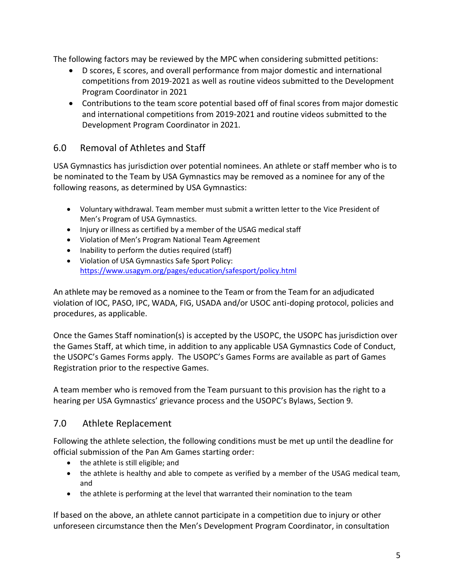The following factors may be reviewed by the MPC when considering submitted petitions:

- D scores, E scores, and overall performance from major domestic and international competitions from 2019-2021 as well as routine videos submitted to the Development Program Coordinator in 2021
- Contributions to the team score potential based off of final scores from major domestic and international competitions from 2019-2021 and routine videos submitted to the Development Program Coordinator in 2021.

## 6.0 Removal of Athletes and Staff

USA Gymnastics has jurisdiction over potential nominees. An athlete or staff member who is to be nominated to the Team by USA Gymnastics may be removed as a nominee for any of the following reasons, as determined by USA Gymnastics:

- Voluntary withdrawal. Team member must submit a written letter to the Vice President of Men's Program of USA Gymnastics.
- Injury or illness as certified by a member of the USAG medical staff
- Violation of Men's Program National Team Agreement
- Inability to perform the duties required (staff)
- Violation of USA Gymnastics Safe Sport Policy: <https://www.usagym.org/pages/education/safesport/policy.html>

An athlete may be removed as a nominee to the Team or from the Team for an adjudicated violation of IOC, PASO, IPC, WADA, FIG, USADA and/or USOC anti-doping protocol, policies and procedures, as applicable.

Once the Games Staff nomination(s) is accepted by the USOPC, the USOPC has jurisdiction over the Games Staff, at which time, in addition to any applicable USA Gymnastics Code of Conduct, the USOPC's Games Forms apply. The USOPC's Games Forms are available as part of Games Registration prior to the respective Games.

A team member who is removed from the Team pursuant to this provision has the right to a hearing per USA Gymnastics' grievance process and the USOPC's Bylaws, Section 9.

## 7.0 Athlete Replacement

Following the athlete selection, the following conditions must be met up until the deadline for official submission of the Pan Am Games starting order:

- the athlete is still eligible; and
- the athlete is healthy and able to compete as verified by a member of the USAG medical team, and
- the athlete is performing at the level that warranted their nomination to the team

If based on the above, an athlete cannot participate in a competition due to injury or other unforeseen circumstance then the Men's Development Program Coordinator, in consultation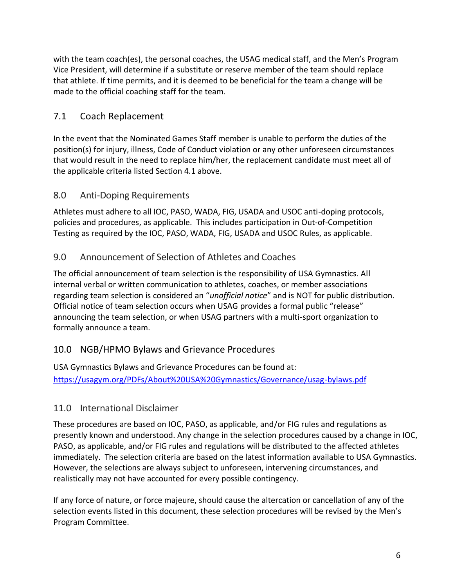with the team coach(es), the personal coaches, the USAG medical staff, and the Men's Program Vice President, will determine if a substitute or reserve member of the team should replace that athlete. If time permits, and it is deemed to be beneficial for the team a change will be made to the official coaching staff for the team.

# 7.1 Coach Replacement

In the event that the Nominated Games Staff member is unable to perform the duties of the position(s) for injury, illness, Code of Conduct violation or any other unforeseen circumstances that would result in the need to replace him/her, the replacement candidate must meet all of the applicable criteria listed Section 4.1 above.

#### 8.0 Anti-Doping Requirements

Athletes must adhere to all IOC, PASO, WADA, FIG, USADA and USOC anti-doping protocols, policies and procedures, as applicable. This includes participation in Out-of-Competition Testing as required by the IOC, PASO, WADA, FIG, USADA and USOC Rules, as applicable.

## 9.0 Announcement of Selection of Athletes and Coaches

The official announcement of team selection is the responsibility of USA Gymnastics. All internal verbal or written communication to athletes, coaches, or member associations regarding team selection is considered an "*unofficial notice*" and is NOT for public distribution. Official notice of team selection occurs when USAG provides a formal public "release" announcing the team selection, or when USAG partners with a multi-sport organization to formally announce a team.

## 10.0 NGB/HPMO Bylaws and Grievance Procedures

USA Gymnastics Bylaws and Grievance Procedures can be found at: <https://usagym.org/PDFs/About%20USA%20Gymnastics/Governance/usag-bylaws.pdf>

## 11.0 International Disclaimer

These procedures are based on IOC, PASO, as applicable, and/or FIG rules and regulations as presently known and understood. Any change in the selection procedures caused by a change in IOC, PASO, as applicable, and/or FIG rules and regulations will be distributed to the affected athletes immediately. The selection criteria are based on the latest information available to USA Gymnastics. However, the selections are always subject to unforeseen, intervening circumstances, and realistically may not have accounted for every possible contingency.

If any force of nature, or force majeure, should cause the altercation or cancellation of any of the selection events listed in this document, these selection procedures will be revised by the Men's Program Committee.